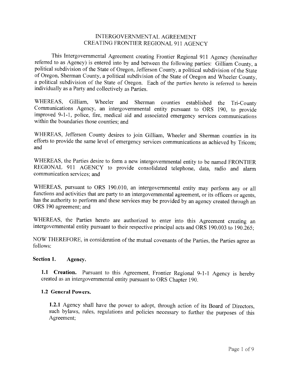## INTERGOVERNMENTAL AGREEMENT CREATING FRONTIER REGIONAL 911 AGENCY

This Intergovernmental Agreement creating Frontier Regional 911 Agency (hereinafter referred to as Agency) is entered into by and between the following parties: Gilliam County, a political subdivision of the State of Oregon, Jefferson County, a political subdivision of the State of Oregon, Sherman County, a political subdivision of the State of Oregon and Wheeler County, a political subdivision of the State of Oregon. Each of the parties hereto is referred to herein individually as a Party and collectively as Parties.

WHEREAS, Gilliam, Wheeler and Sherman counties established the Tri-County Communications Agency, an intergovernmental entity pursuant to ORS 190, to provide improved 9-1-1, police, fire, medical aid and associated emergency services communications within the boundaries those counties: and

WHEREAS, Jefferson County desires to join Gilliam, Wheeler and Sherman counties in its efforts to provide the same level of emergency services communications as achieved by Tricom; and

WHEREAS, the Parties desire to form a new intergovernmental entity to be named FRONTIER REGIONAL 911 AGENCY to provide consolidated telephone, data, radio and alarm communication services: and

WHEREAS, pursuant to ORS 190.010, an intergovernmental entity may perform any or all functions and activities that are party to an intergovernmental agreement, or its officers or agents, has the authority to perform and these services may be provided by an agency created through an ORS 190 agreement; and

WHEREAS, the Parties hereto are authorized to enter into this Agreement creating an intergovernmental entity pursuant to their respective principal acts and ORS 190.003 to 190.265;

NOW THEREFORE, in consideration of the mutual covenants of the Parties, the Parties agree as follows:

#### Section 1. Agency.

1.1 Creation. Pursuant to this Agreement, Frontier Regional 9-1-1 Agency is hereby created as an intergovernmental entity pursuant to ORS Chapter 190.

### 1.2 General Powers.

1.2.1 Agency shall have the power to adopt, through action of its Board of Directors, such bylaws, rules, regulations and policies necessary to further the purposes of this Agreement;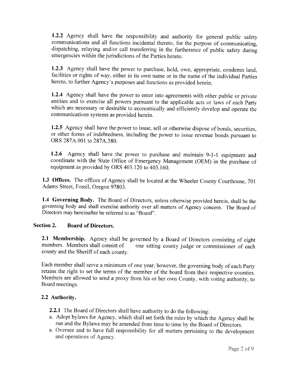1.2.2 Agency shall have the responsibility and authority for general public safety communications and all functions incidental thereto, for the purpose of communicating, dispatching, relaying and/or call transferring in the furtherance of public safety during emergencies within the jurisdictions of the Parties hereto.

1.2.3 Agency shall have the power to purchase, hold, own, appropriate, condemn land, facilities or rights of way, either in its own name or in the name of the individual Parties hereto, to further Agency's purposes and functions as provided herein.

1.2.4 Agency shall have the power to enter into agreements with other public or private entities and to exercise all powers pursuant to the applicable acts or laws of each Party which are necessary or desirable to economically and efficiently develop and operate the communications systems as provided herein.

1.2.5 Agency shall have the power to issue, sell or otherwise dispose of bonds, securities, or other forms of indebtedness, including the power to issue revenue bonds pursuant to ORS 287A.001 to 287A.380.

1.2.6 Agency shall have the power to purchase and maintain 9-1-1 equipment and coordinate with the State Office of Emergency Management (OEM) in the purchase of equipment as provided by ORS 403.120 to 403.160.

1.3 Offices. The offices of Agency shall be located at the Wheeler County Courthouse, 701 Adams Street, Fossil, Oregon 97803.

1.4 Governing Body. The Board of Directors, unless otherwise provided herein, shall be the governing body and shall exercise authority over all matters of Agency concern. The Board of Directors may hereinafter be referred to as "Board".

#### Section 2. **Board of Directors.**

2.1 Membership. Agency shall be governed by a Board of Directors consisting of eight members. Members shall consist of one sitting county judge or commissioner of each county and the Sheriff of each county.

Each member shall serve a minimum of one year; however, the governing body of each Party retains the right to set the terms of the member of the board from their respective counties. Members are allowed to send a proxy from his or her own County, with voting authority, to Board meetings.

## 2.2 Authority.

2.2.1 The Board of Directors shall have authority to do the following:

- a. Adopt bylaws for Agency, which shall set forth the rules by which the Agency shall be run and the Bylaws may be amended from time to time by the Board of Directors.
- a. Oversee and to have full responsibility for all matters pertaining to the development and operations of Agency.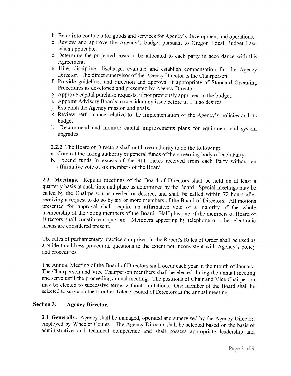- b. Enter into contracts for goods and services for Agency's development and operations.
- c. Review and approve the Agency's budget pursuant to Oregon Local Budget Law. when applicable.
- d. Determine the projected costs to be allocated to each party in accordance with this Agreement.
- e. Hire, discipline, discharge, evaluate and establish compensation for the Agency Director. The direct supervisor of the Agency Director is the Chairperson.
- f. Provide guidelines and direction and approval if appropriate of Standard Operating Procedures as developed and presented by Agency Director.
- g. Approve capital purchase requests, if not previously approved in the budget.
- i. Appoint Advisory Boards to consider any issue before it, if it so desires.
- j. Establish the Agency mission and goals.
- k. Review performance relative to the implementation of the Agency's policies and its budget.
- 1. Recommend and monitor capital improvements plans for equipment and system upgrades.

2.2.2 The Board of Directors shall not have authority to do the following:

- a. Commit the taxing authority or general funds of the governing body of each Party.
- b. Expend funds in excess of the 911 Taxes received from each Party without an affirmative vote of six members of the Board.

2.3 Meetings. Regular meetings of the Board of Directors shall be held on at least a quarterly basis at such time and place as determined by the Board. Special meetings may be called by the Chairperson as needed or desired, and shall be called within 72 hours after receiving a request to do so by six or more members of the Board of Directors. All motions presented for approval shall require an affirmative vote of a majority of the whole membership of the voting members of the Board. Half plus one of the members of Board of Directors shall constitute a quorum. Members appearing by telephone or other electronic means are considered present.

The rules of parliamentary practice comprised in the Robert's Rules of Order shall be used as a guide to address procedural questions to the extent not inconsistent with Agency's policy and procedures.

The Annual Meeting of the Board of Directors shall occur each year in the month of January. The Chairperson and Vice Chairperson members shall be elected during the annual meeting and serve until the proceeding annual meeting. The positions of Chair and Vice Chairperson may be elected to successive terms without limitations. One member of the Board shall be selected to serve on the Frontier Telenet Board of Directors at the annual meeting.

#### Section 3. **Agency Director.**

3.1 Generally. Agency shall be managed, operated and supervised by the Agency Director, employed by Wheeler County. The Agency Director shall be selected based on the basis of administrative and technical competence and shall possess appropriate leadership and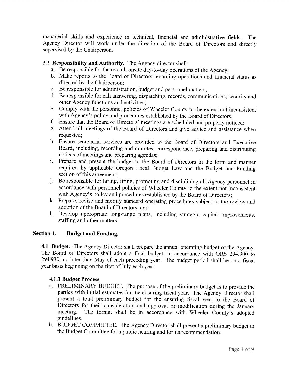managerial skills and experience in technical, financial and administrative fields. The Agency Director will work under the direction of the Board of Directors and directly supervised by the Chairperson.

## 3.2 Responsibility and Authority. The Agency director shall:

- a. Be responsible for the overall onsite day-to-day operations of the Agency;
- b. Make reports to the Board of Directors regarding operations and financial status as directed by the Chairperson:
- c. Be responsible for administration, budget and personnel matters;
- d. Be responsible for call answering, dispatching, records, communications, security and other Agency functions and activities:
- e. Comply with the personnel policies of Wheeler County to the extent not inconsistent with Agency's policy and procedures established by the Board of Directors;
- f. Ensure that the Board of Directors' meetings are scheduled and properly noticed;
- g. Attend all meetings of the Board of Directors and give advice and assistance when requested:
- h. Ensure secretarial services are provided to the Board of Directors and Executive Board, including, recording and minutes, correspondence, preparing and distributing notices of meetings and preparing agendas;
- i. Prepare and present the budget to the Board of Directors in the form and manner required by applicable Oregon Local Budget Law and the Budget and Funding section of this agreement;
- j. Be responsible for hiring, firing, promoting and disciplining all Agency personnel in accordance with personnel policies of Wheeler County to the extent not inconsistent with Agency's policy and procedures established by the Board of Directors;
- k. Prepare, revise and modify standard operating procedures subject to the review and adoption of the Board of Directors; and
- l. Develop appropriate long-range plans, including strategic capital improvements, staffing and other matters.

#### Section 4. **Budget and Funding.**

4.1 Budget. The Agency Director shall prepare the annual operating budget of the Agency. The Board of Directors shall adopt a final budget, in accordance with ORS 294.900 to 294.930, no later than May of each preceding year. The budget period shall be on a fiscal year basis beginning on the first of July each year.

## **4.1.1 Budget Process**

- a. PRELIMINARY BUDGET. The purpose of the preliminary budget is to provide the parties with initial estimates for the ensuring fiscal year. The Agency Director shall present a total preliminary budget for the ensuring fiscal year to the Board of Directors for their consideration and approval or modification during the January The format shall be in accordance with Wheeler County's adopted meeting. guidelines.
- b. BUDGET COMMITTEE. The Agency Director shall present a preliminary budget to the Budget Committee for a public hearing and for its recommendation.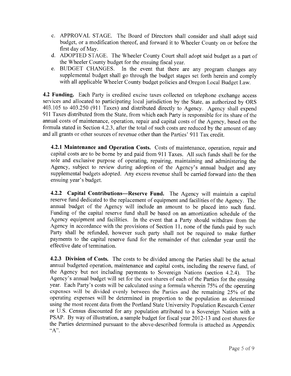- c. APPROVAL STAGE. The Board of Directors shall consider and shall adopt said budget, or a modification thereof, and forward it to Wheeler County on or before the first day of May.
- d. ADOPTED STAGE. The Wheeler County Court shall adopt said budget as a part of the Wheeler County budget for the ensuing fiscal year.
- In the event that there are any program changes any e. BUDGET CHANGES. supplemental budget shall go through the budget stages set forth herein and comply with all applicable Wheeler County budget policies and Oregon Local Budget Law.

4.2 Funding. Each Party is credited excise taxes collected on telephone exchange access services and allocated to participating local jurisdiction by the State, as authorized by ORS 403.105 to 403.250 (911 Taxes) and distributed directly to Agency. Agency shall expend 911 Taxes distributed from the State, from which each Party is responsible for its share of the annual costs of maintenance, operation, repair and capital costs of the Agency, based on the formula stated in Section 4.2.3, after the total of such costs are reduced by the amount of any and all grants or other sources of revenue other than the Parties' 911 Tax credit.

4.2.1 Maintenance and Operation Costs. Costs of maintenance, operation, repair and capital costs are to be borne by and paid from 911 Taxes. All such funds shall be for the sole and exclusive purpose of operating, repairing, maintaining and administering the Agency, subject to review during adoption of the Agency's annual budget and any supplemental budgets adopted. Any excess revenue shall be carried forward into the then ensuing year's budget.

4.2.2 Capital Contributions-Reserve Fund. The Agency will maintain a capital reserve fund dedicated to the replacement of equipment and facilities of the Agency. The annual budget of the Agency will include an amount to be placed into such fund. Funding of the capital reserve fund shall be based on an amortization schedule of the Agency equipment and facilities. In the event that a Party should withdraw from the Agency in accordance with the provisions of Section 11, none of the funds paid by such Party shall be refunded, however such party shall not be required to make further payments to the capital reserve fund for the remainder of that calendar year until the effective date of termination.

4.2.3 Division of Costs. The costs to be divided among the Parties shall be the actual annual budgeted operation, maintenance and capital costs, including the reserve fund, of the Agency but not including payments to Sovereign Nations (section 4.2.4). The Agency's annual budget will set for the cost shares of each of the Parties for the ensuing year. Each Party's costs will be calculated using a formula wherein 75% of the operating expenses will be divided evenly between the Parties and the remaining 25% of the operating expenses will be determined in proportion to the population as determined using the most recent data from the Portland State University Population Research Center or U.S. Census discounted for any population attributed to a Sovereign Nation with a PSAP. By way of illustration, a sample budget for fiscal year 2012-13 and cost shares for the Parties determined pursuant to the above-described formula is attached as Appendix  $A$ ".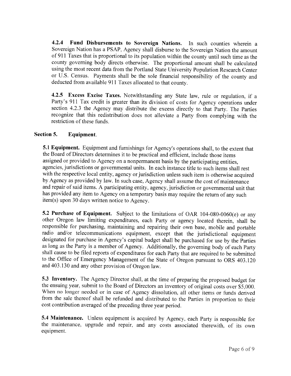$4.2.4$ Fund Disbursements to Sovereign Nations. In such counties wherein a Sovereign Nation has a PSAP, Agency shall disburse to the Sovereign Nation the amount of 911 Taxes that is proportional to its population within the county until such time as the county governing body directs otherwise. The proportional amount shall be calculated using the most recent data from the Portland State University Population Research Center or U.S. Census. Payments shall be the sole financial responsibility of the county and deducted from available 911 Taxes allocated to that county.

4.2.5 Excess Excise Taxes. Notwithstanding any State law, rule or regulation, if a Party's 911 Tax credit is greater than its division of costs for Agency operations under section 4.2.3 the Agency may distribute the excess directly to that Party. The Parties recognize that this redistribution does not alleviate a Party from complying with the restriction of these funds.

#### Section 5. Equipment.

5.1 Equipment. Equipment and furnishings for Agency's operations shall, to the extent that the Board of Directors determines it to be practical and efficient, include those items assigned or provided to Agency on a nonpermanent basis by the participating entities, agencies, jurisdictions or governmental units. In each instance title to such items shall rest with the respective local entity, agency or jurisdiction unless such item is otherwise acquired by Agency as provided by law. In such case, Agency shall assume the cost of maintenance and repair of said items. A participating entity, agency, jurisdiction or governmental unit that has provided any item to Agency on a temporary basis may require the return of any such item(s) upon 30 days written notice to Agency.

5.2 Purchase of Equipment. Subject to the limitations of OAR 104-080-0060(e) or any other Oregon law limiting expenditures, each Party or agency located therein, shall be responsible for purchasing, maintaining and repairing their own base, mobile and portable radio and/or telecommunications equipment, except that the jurisdictional equipment designated for purchase in Agency's capital budget shall be purchased for use by the Parties as long as the Party is a member of Agency. Additionally, the governing body of each Party shall cause to be filed reports of expenditures for each Party that are required to be submitted to the Office of Emergency Management of the State of Oregon pursuant to ORS 403.120 and 403.130 and any other provision of Oregon law.

5.3 Inventory. The Agency Director shall, at the time of preparing the proposed budget for the ensuing year, submit to the Board of Directors an inventory of original costs over \$5,000. When no longer needed or in case of Agency dissolution, all other items or funds derived from the sale thereof shall be refunded and distributed to the Parties in proportion to their cost contribution averaged of the preceding three year period.

5.4 Maintenance. Unless equipment is acquired by Agency, each Party is responsible for the maintenance, upgrade and repair, and any costs associated therewith, of its own equipment.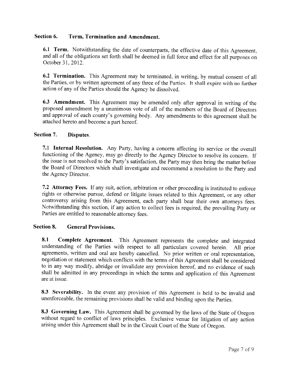#### Section 6. Term, Termination and Amendment.

6.1 Term. Notwithstanding the date of counterparts, the effective date of this Agreement. and all of the obligations set forth shall be deemed in full force and effect for all purposes on October 31, 2012.

6.2 Termination. This Agreement may be terminated, in writing, by mutual consent of all the Parties, or by written agreement of any three of the Parties. It shall expire with no further action of any of the Parties should the Agency be dissolved.

6.3 Amendment. This Agreement may be amended only after approval in writing of the proposed amendment by a unanimous vote of all of the members of the Board of Directors and approval of each county's governing body. Any amendments to this agreement shall be attached hereto and become a part hereof.

#### Section 7. Disputes.

7.1 Internal Resolution. Any Party, having a concern affecting its service or the overall functioning of the Agency, may go directly to the Agency Director to resolve its concern. If the issue is not resolved to the Party's satisfaction, the Party may then bring the matter before the Board of Directors which shall investigate and recommend a resolution to the Party and the Agency Director.

7.2 Attorney Fees. If any suit, action, arbitration or other proceeding is instituted to enforce rights or otherwise pursue, defend or litigate issues related to this Agreement, or any other controversy arising from this Agreement, each party shall bear their own attorneys fees. Notwithstanding this section, if any action to collect fees is required, the prevailing Party or Parties are entitled to reasonable attorney fees.

#### **Section 8. General Provisions.**

Complete Agreement. This Agreement represents the complete and integrated 8.1 understanding of the Parties with respect to all particulars covered herein. All prior agreements, written and oral are hereby cancelled. No prior written or oral representation, negotiation or statement which conflicts with the terms of this Agreement shall be considered to in any way modify, abridge or invalidate any provision hereof, and no evidence of such shall be admitted in any proceedings in which the terms and application of this Agreement are at issue.

8.3 Severability. In the event any provision of this Agreement is held to be invalid and unenforceable, the remaining provisions shall be valid and binding upon the Parties.

8.3 Governing Law. This Agreement shall be governed by the laws of the State of Oregon without regard to conflict of laws principles. Exclusive venue for litigation of any action arising under this Agreement shall be in the Circuit Court of the State of Oregon.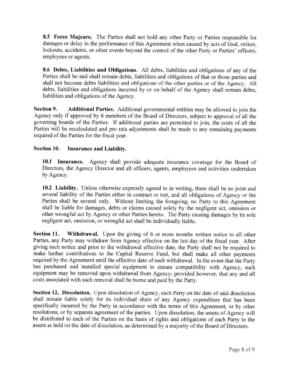8.5 Force Majeure. The Parties shall not hold any other Party or Parties responsible for damages or delay in the performance of this Agreement when caused by acts of God, strikes, lockouts, accidents, or other events beyond the control of the other Party or Parties' officers. employees or agents.

8.6 Debts, Liabilities and Obligations. All debts, liabilities and obligations of any of the Parties shall be and shall remain debts, liabilities and obligations of that or those parties and shall not become debts liabilities and obligations of the other parties or of the Agency. All debts, liabilities and obligations incurred by or on behalf of the Agency shall remain debts. liabilities and obligations of the Agency.

Section 9. Additional Parties. Additional governmental entities may be allowed to join the Agency only if approved by 6 members of the Board of Directors, subject to approval of all the governing boards of the Parties. If additional parties are permitted to join, the costs of all the Parties will be recalculated and pro rata adjustments shall be made to any remaining payments required of the Parties for the fiscal year.

#### Section 10. Insurance and Liability.

10.1 Insurance. Agency shall provide adequate insurance coverage for the Board of Directors, the Agency Director and all officers, agents, employees and activities undertaken by Agency.

10.2 Liability. Unless otherwise expressly agreed to in writing, there shall be no joint and several liability of the Parties either in contract or tort, and all obligations of Agency or the Parties shall be several only. Without limiting the foregoing, no Party to this Agreement shall be liable for damages, debts or claims caused solely by the negligent act, omission or other wrongful act by Agency or other Parties hereto. The Party causing damages by its sole negligent act, omission, or wrongful act shall be individually liable.

Section 11. **Withdrawal.** Upon the giving of 6 or more months written notice to all other Parties, any Party may withdraw from Agency effective on the last day of the fiscal year. After giving such notice and prior to the withdrawal effective date, the Party shall not be required to make further contributions to the Capital Reserve Fund, but shall make all other payments required by the Agreement until the effective date of such withdrawal. In the event that the Party has purchased and installed special equipment to ensure compatibility with Agency, such equipment may be removed upon withdrawal from Agency; provided however, that any and all costs associated with such removal shall be borne and paid by the Party.

Section 12. Dissolution. Upon dissolution of Agency, each Party on the date of said dissolution shall remain liable solely for its individual share of any Agency expenditure that has been specifically incurred by the Party in accordance with the terms of this Agreement, or by other resolutions, or by separate agreement of the parties. Upon dissolution, the assets of Agency will be distributed to each of the Parties on the basis of rights and obligations of each Party to the assets as held on the date of dissolution, as determined by a majority of the Board of Directors.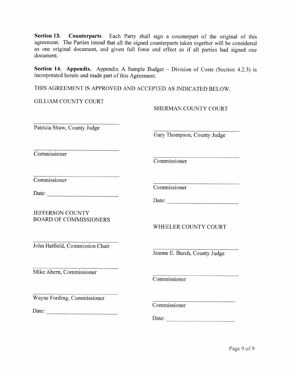Section 13. Counterparts. Each Party shall sign a counterpart of the original of this agreement. The Parties intend that all the signed counterparts taken together will be considered as one original document, and given full force and effect as if all parties had signed one document.

Section 14. Appendix. Appendix A Sample Budget – Division of Costs (Section 4.2.3) is incorporated herein and made part of this Agreement.

THIS AGREEMENT IS APPROVED AND ACCEPTED AS INDICATED BELOW.

**GILLIAM COUNTY COURT** 

SHERMAN COUNTY COURT

Patricia Shaw, County Judge

Commissioner

Gary Thompson, County Judge

Commissioner

Commissioner

**JEFFERSON COUNTY BOARD OF COMMISSIONERS**  Commissioner

WHEELER COUNTY COURT

John Hatfield, Commission Chair

Jeanne E. Burch, County Judge

Mike Ahern, Commissioner

Commissioner

Wayne Fording, Commissioner

Date:  $\qquad \qquad$ 

Commissioner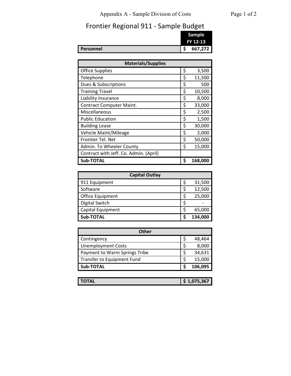# Appendix A - Sample Division of Costs Page 1 of 2

# Frontier Regional 911 - Sample Budget

|                  | Sample<br>FY 12-13 |
|------------------|--------------------|
| <b>Personnel</b> | 667,272            |

| <b>Materials/Supplies</b>              |    |         |  |  |  |  |
|----------------------------------------|----|---------|--|--|--|--|
| <b>Office Supplies</b>                 | \$ | 3,500   |  |  |  |  |
| Telephone                              | \$ | 11,500  |  |  |  |  |
| Dues & Subscriptions                   | \$ | 500     |  |  |  |  |
| <b>Training Travel</b>                 | \$ | 10,500  |  |  |  |  |
| Liability Insurance                    | \$ | 8,000   |  |  |  |  |
| <b>Contract Computer Maint.</b>        | \$ | 33,000  |  |  |  |  |
| Miscellaneous                          | \$ | 2,500   |  |  |  |  |
| <b>Public Education</b>                | \$ | 1,500   |  |  |  |  |
| <b>Building Lease</b>                  | \$ | 30,000  |  |  |  |  |
| Vehicle Maint/Mileage                  | \$ | 2,000   |  |  |  |  |
| Frontier Tel. Net                      | \$ | 50,000  |  |  |  |  |
| Admin. To Wheeler County               | \$ | 15,000  |  |  |  |  |
| Contract with Jeff. Co. Admin. (April) |    |         |  |  |  |  |
| Sub-TOTAL                              | S  | 168,000 |  |  |  |  |

| <b>Capital Outlay</b> |         |
|-----------------------|---------|
| 911 Equipment         | 31,500  |
| Software              | 12,500  |
| Office Equipment      | 25,000  |
| Digital Switch        |         |
| Capital Equipment     | 65,000  |
| Sub-TOTAL             | 134,000 |

| Other                         |  |         |  |  |  |  |  |  |
|-------------------------------|--|---------|--|--|--|--|--|--|
| Contingency                   |  | 48,464  |  |  |  |  |  |  |
| <b>Unemployment Costs</b>     |  | 8,000   |  |  |  |  |  |  |
| Payment to Warm Springs Tribe |  | 34,631  |  |  |  |  |  |  |
| Transfer to Equipment Fund    |  | 15,000  |  |  |  |  |  |  |
| Sub-TOTAL                     |  | 106,095 |  |  |  |  |  |  |

| <b>TOTAL</b> | 1,075,367 |
|--------------|-----------|
|              |           |